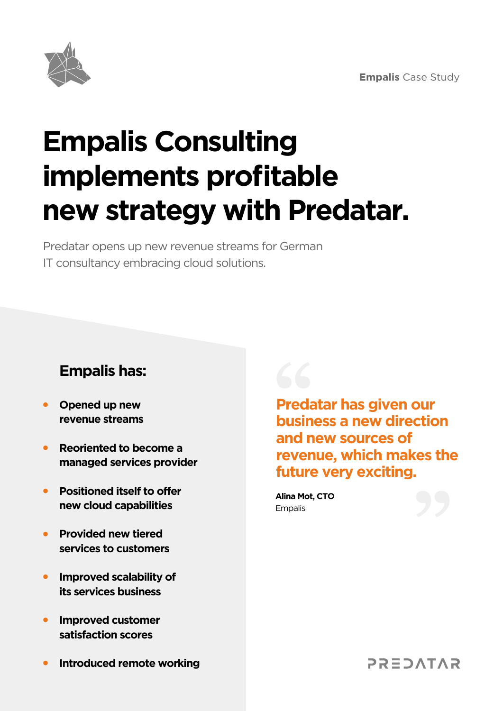

# **Empalis Consulting implements profitable new strategy with Predatar.**

Predatar opens up new revenue streams for German IT consultancy embracing cloud solutions.

#### **Empalis has:**

- **Opened up new • revenue streams**
- **Reoriented to become a managed services provider •**
- **Positioned itself to offer new cloud capabilities •**
- **Provided new tiered • services to customers**
- **Improved scalability of • its services business**
- **Improved customer satisfaction scores •**
- **Introduced remote working •**

**Predatar has given our business a new direction and new sources of revenue, which makes the future very exciting.**

**Alina Mot, CTO Empalis** 



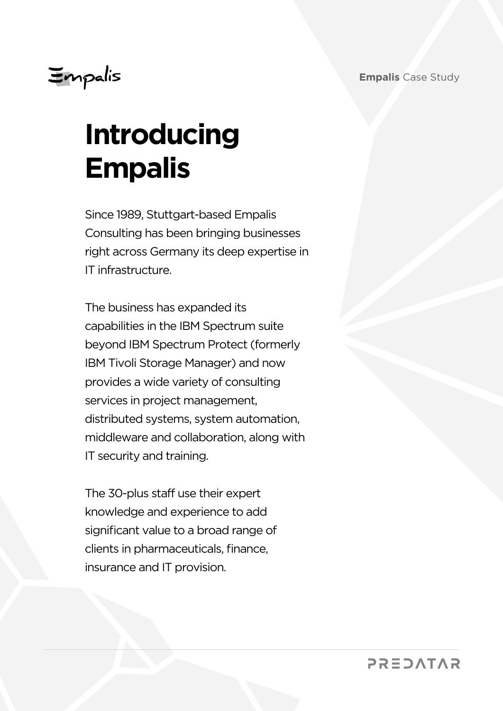## Empalis

# **Introducing Empalis**

Since 1989, Stuttgart-based Empalis Consulting has been bringing businesses right across Germany its deep expertise in IT infrastructure.

The business has expanded its capabilities in the IBM Spectrum suite beyond IBM Spectrum Protect (formerly IBM Tivoli Storage Manager) and now provides a wide variety of consulting services in project management, distributed systems, system automation, middleware and collaboration, along with IT security and training.

The 30-plus staff use their expert knowledge and experience to add significant value to a broad range of clients in pharmaceuticals, finance, insurance and IT provision.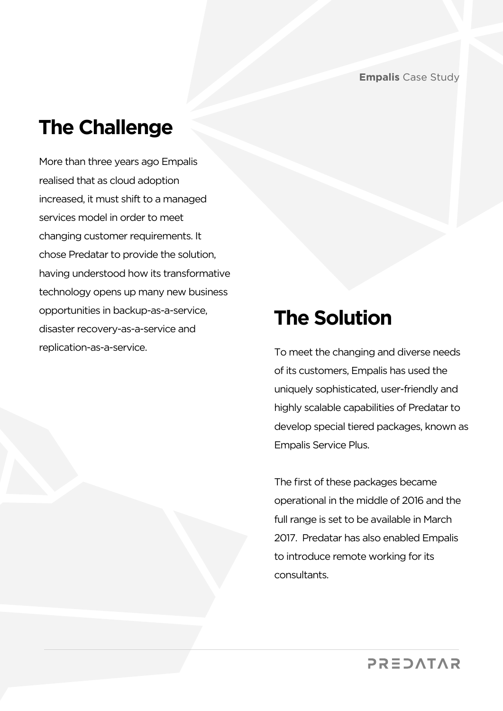### **The Challenge**

More than three years ago Empalis realised that as cloud adoption increased, it must shift to a managed services model in order to meet changing customer requirements. It chose Predatar to provide the solution, having understood how its transformative technology opens up many new business opportunities in backup-as-a-service, disaster recovery-as-a-service and replication-as-a-service. To meet the changing and diverse needs

#### **The Solution**

of its customers, Empalis has used the uniquely sophisticated, user-friendly and highly scalable capabilities of Predatar to develop special tiered packages, known as Empalis Service Plus.

The first of these packages became operational in the middle of 2016 and the full range is set to be available in March 2017. Predatar has also enabled Empalis to introduce remote working for its consultants.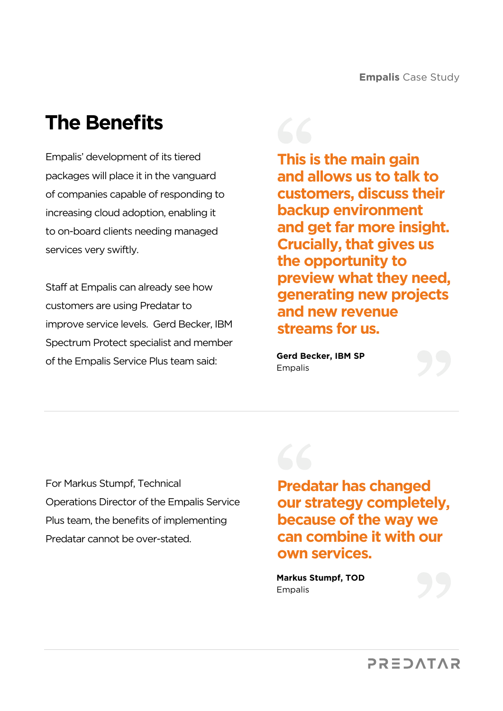#### **The Benefits**

Empalis' development of its tiered packages will place it in the vanguard of companies capable of responding to increasing cloud adoption, enabling it to on-board clients needing managed services very swiftly.

Staff at Empalis can already see how customers are using Predatar to improve service levels. Gerd Becker, IBM Spectrum Protect specialist and member of the Empalis Service Plus team said:

**This is the main gain and allows us to talk to customers, discuss their backup environment and get far more insight. Crucially, that gives us the opportunity to preview what they need, generating new projects and new revenue streams for us.**

**Gerd Becker, IBM SP** Empalis

For Markus Stumpf, Technical Operations Director of the Empalis Service Plus team, the benefits of implementing Predatar cannot be over-stated.



**Predatar has changed our strategy completely, because of the way we can combine it with our own services.**

**Markus Stumpf, TOD** Empalis